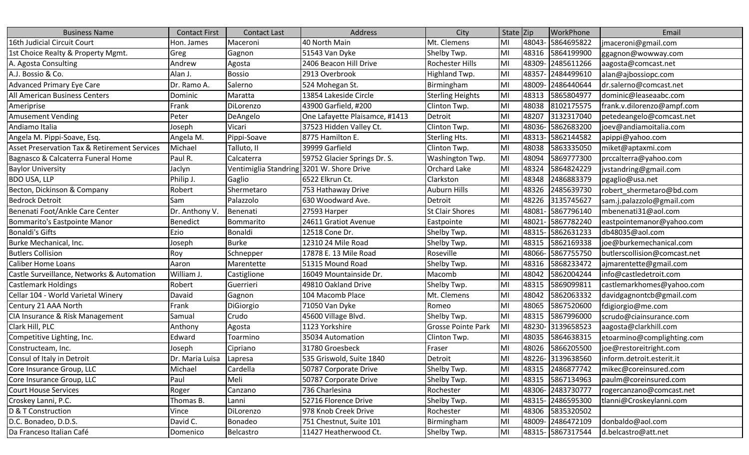| <b>Business Name</b>                                    | <b>Contact First</b>    | <b>Contact Last</b>                       | <b>Address</b>                 | City                      | State Zip |       | WorkPhone         | Email                        |
|---------------------------------------------------------|-------------------------|-------------------------------------------|--------------------------------|---------------------------|-----------|-------|-------------------|------------------------------|
| 16th Judicial Circuit Court                             | Hon. James              | Maceroni                                  | 40 North Main                  | Mt. Clemens               | MI        | 48043 | 5864695822        | jmaceroni@gmail.com          |
| 1st Choice Realty & Property Mgmt.                      | Greg                    | Gagnon                                    | 51543 Van Dyke                 | Shelby Twp.               | MI        | 48316 | 5864199900        | ggagnon@wowway.com           |
| A. Agosta Consulting                                    | Andrew                  | Agosta                                    | 2406 Beacon Hill Drive         | Rochester Hills           | MI        | 48309 | 2485611266        | aagosta@comcast.net          |
| A.J. Bossio & Co.                                       | Alan J.                 | <b>Bossio</b>                             | 2913 Overbrook                 | Highland Twp.             | MI        | 48357 | 2484499610        | alan@ajbossiopc.com          |
| <b>Advanced Primary Eye Care</b>                        | Dr. Ramo A.             | Salerno                                   | 524 Mohegan St.                | Birmingham                | MI        | 48009 | 2486440644        | dr.salerno@comcast.net       |
| All American Business Centers                           | Dominic                 | Maratta                                   | 13854 Lakeside Circle          | <b>Sterling Heights</b>   | MI        | 48313 | 5865804977        | dominic@leaseaabc.com        |
| Ameriprise                                              | Frank                   | DiLorenzo                                 | 43900 Garfield, #200           | Clinton Twp.              | MI        | 48038 | 8102175575        | frank.v.dilorenzo@ampf.com   |
| <b>Amusement Vending</b>                                | Peter                   | DeAngelo                                  | One Lafayette Plaisamce, #1413 | Detroit                   | MI        | 48207 | 3132317040        | petedeangelo@comcast.net     |
| Andiamo Italia                                          | Joseph                  | Vicari                                    | 37523 Hidden Valley Ct.        | Clinton Twp.              | MI        | 48036 | 5862683200        | joev@andiamoitalia.com       |
| Angela M. Pippi-Soave, Esq.                             | Angela M.               | Pippi-Soave                               | 8775 Hamilton E.               | Sterling Hts.             | MI        | 48313 | 5862144582        | apippi@yahoo.com             |
| <b>Asset Preservation Tax &amp; Retirement Services</b> | Michael                 | Talluto, II                               | 39999 Garfield                 | Clinton Twp.              | MI        | 48038 | 5863335050        | miket@aptaxmi.com            |
| Bagnasco & Calcaterra Funeral Home                      | Paul R.                 | Calcaterra                                | 59752 Glacier Springs Dr. S.   | Washington Twp.           | MI        | 48094 | 5869777300        | prccalterra@yahoo.com        |
| <b>Baylor University</b>                                | Jaclyn                  | Ventimiglia Standring 3201 W. Shore Drive |                                | Orchard Lake              | MI        | 48324 | 5864824229        | jvstandring@gmail.com        |
| <b>BDO USA, LLP</b>                                     | Philip J.               | Gaglio                                    | 6522 Elkrun Ct.                | Clarkston                 | MI        | 48348 | 2486883379        | pgaglio@usa.net              |
| Becton, Dickinson & Company                             | Robert                  | Shermetaro                                | 753 Hathaway Drive             | <b>Auburn Hills</b>       | MI        | 48326 | 2485639730        | robert_shermetaro@bd.com     |
| <b>Bedrock Detroit</b>                                  | Sam                     | Palazzolo                                 | 630 Woodward Ave.              | Detroit                   | MI        | 48226 | 3135745627        | sam.j.palazzolo@gmail.com    |
| Benenati Foot/Ankle Care Center                         | Dr. Anthony V.          | Benenati                                  | 27593 Harper                   | <b>St Clair Shores</b>    | MI        | 48081 | 5867796140        | mbenenati31@aol.com          |
| Bommarito's Eastpointe Manor                            | Benedict                | Bommarito                                 | 24611 Gratiot Avenue           | Eastpointe                | MI        | 48021 | 5867782240        | eastpointemanor@yahoo.com    |
| Bonaldi's Gifts                                         | Ezio                    | Bonaldi                                   | 12518 Cone Dr.                 | Shelby Twp.               | MI        | 48315 | 5862631233        | db48035@aol.com              |
| Burke Mechanical, Inc.                                  | Joseph                  | <b>Burke</b>                              | 12310 24 Mile Road             | Shelby Twp.               | MI        | 48315 | 5862169338        | joe@burkemechanical.com      |
| <b>Butlers Collision</b>                                | Roy                     | Schnepper                                 | 17878 E. 13 Mile Road          | Roseville                 | MI        | 48066 | 5867755750        | butlerscollision@comcast.net |
| <b>Caliber Home Loans</b>                               | Aaron                   | Marentette                                | 51315 Mound Road               | Shelby Twp.               | MI        | 48316 | 5868233472        | ajmarentette@gmail.com       |
| Castle Surveillance, Networks & Automation              | William J               | Castiglione                               | 16049 Mountainside Dr.         | Macomb                    | MI        | 48042 | 5862004244        | info@castledetroit.com       |
| Castlemark Holdings                                     | Robert                  | Guerrieri                                 | 49810 Oakland Drive            | Shelby Twp.               | MI        | 48315 | 5869099811        | castlemarkhomes@yahoo.com    |
| Cellar 104 - World Varietal Winery                      | Davaid                  | Gagnon                                    | 104 Macomb Place               | Mt. Clemens               | MI        | 48042 | 5862063332        | davidgagnontcb@gmail.com     |
| Century 21 AAA North                                    | Frank                   | DiGiorgio                                 | 71050 Van Dyke                 | Romeo                     | MI        | 48065 | 5867520600        | fdigiorgio@me.com            |
| CIA Insurance & Risk Management                         | Samual                  | Crudo                                     | 45600 Village Blvd.            | Shelby Twp.               | MI        | 48315 | 5867996000        | scrudo@ciainsurance.com      |
| Clark Hill, PLC                                         | Anthony                 | Agosta                                    | 1123 Yorkshire                 | <b>Grosse Pointe Park</b> | MI        | 48230 | 3139658523        | aagosta@clarkhill.com        |
| Competitive Lighting, Inc.                              | Edward                  | Toarmino                                  | 35034 Automation               | Clinton Twp.              | MI        | 48035 | 5864638315        | etoarmino@complighting.com   |
| Constructeam, Inc.                                      | Joseph                  | Cipriano                                  | 31780 Groesbeck                | Fraser                    | MI        | 48026 | 5866205500        | joe@restoreitright.com       |
| Consul of Italy in Detroit                              | Dr. Maria Luisa Lapresa |                                           | 535 Griswold, Suite 1840       | Detroit                   | MI        |       | 48226-3139638560  | inform.detroit.esterit.it    |
| Core Insurance Group, LLC                               | Michael                 | Cardella                                  | 50787 Corporate Drive          | Shelby Twp.               | MI        | 48315 | 2486877742        | mikec@coreinsured.com        |
| Core Insurance Group, LLC                               | Paul                    | Meli                                      | 50787 Corporate Drive          | Shelby Twp.               | MI        | 48315 | 5867134963        | paulm@coreinsured.com        |
| Court House Services                                    | Roger                   | Canzano                                   | 736 Charlesina                 | Rochester                 | MI        |       | 48306- 2483730777 | rogercanzano@comcast.net     |
| Croskey Lanni, P.C.                                     | Thomas B.               | Lanni                                     | 52716 Florence Drive           | Shelby Twp.               | MI        |       | 48315- 2486595300 | tlanni@Croskeylanni.com      |
| D & T Construction                                      | Vince                   | DiLorenzo                                 | 978 Knob Creek Drive           | Rochester                 | MI        | 48306 | 5835320502        |                              |
| D.C. Bonadeo, D.D.S.                                    | David C.                | Bonadeo                                   | 751 Chestnut, Suite 101        | Birmingham                | MI        |       | 48009- 2486472109 | donbaldo@aol.com             |
| Da Franceso Italian Café                                | Domenico                | Belcastro                                 | 11427 Heatherwood Ct.          | Shelby Twp.               | MI        |       | 48315- 5867317544 | d.belcastro@att.net          |
|                                                         |                         |                                           |                                |                           |           |       |                   |                              |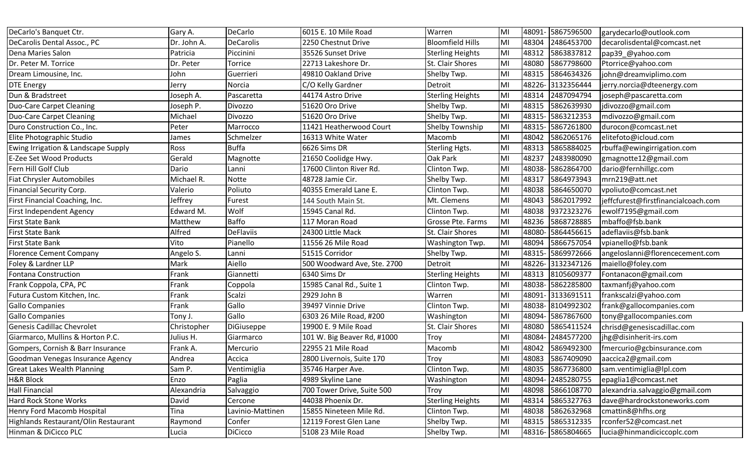| DeCarlo's Banquet Ctr.               | Gary A.     | DeCarlo          | 6015 E. 10 Mile Road        | Warren                  | MI | 48091  | 5867596500        | garydecarlo@outlook.com             |
|--------------------------------------|-------------|------------------|-----------------------------|-------------------------|----|--------|-------------------|-------------------------------------|
| DeCarolis Dental Assoc., PC          | Dr. John A. | <b>DeCarolis</b> | 2250 Chestnut Drive         | <b>Bloomfield Hills</b> | MI | 48304  | 2486453700        | decarolisdental@comcast.net         |
| Dena Maries Salon                    | Patricia    | Piccinini        | 35526 Sunset Drive          | <b>Sterling Heights</b> | MI | 48312  | 5863837812        | pap39 @yahoo.com                    |
| Dr. Peter M. Torrice                 | Dr. Peter   | Torrice          | 22713 Lakeshore Dr.         | St. Clair Shores        | MI | 48080  | 5867798600        | Ptorrice@yahoo.com                  |
| Dream Limousine, Inc.                | John        | Guerrieri        | 49810 Oakland Drive         | Shelby Twp.             | MI | 48315  | 5864634326        | john@dreamviplimo.com               |
| <b>DTE Energy</b>                    | Jerry       | Norcia           | C/O Kelly Gardner           | Detroit                 | MI | 48226  | 3132356444        | jerry.norcia@dteenergy.com          |
| Dun & Bradstreet                     | Joseph A.   | Pascaretta       | 44174 Astro Drive           | <b>Sterling Heights</b> | MI | 48314  | 2487094794        | joseph@pascaretta.com               |
| <b>Duo-Care Carpet Cleaning</b>      | Joseph P.   | Divozzo          | 51620 Oro Drive             | Shelby Twp.             | MI | 48315  | 5862639930        | jdivozzo@gmail.com                  |
| Duo-Care Carpet Cleaning             | Michael     | Divozzo          | 51620 Oro Drive             | Shelby Twp.             | MI | 48315  | 5863212353        | mdivozzo@gmail.com                  |
| Duro Construction Co., Inc.          | Peter       | Marrocco         | 11421 Heatherwood Court     | Shelby Township         | MI | 48315  | 5867261800        | durocon@comcast.net                 |
| Elite Photographic Studio            | James       | Schmelzer        | 16313 White Water           | Macomb                  | MI | 48042  | 5862065176        | elitefoto@icloud.com                |
| Ewing Irrigation & Landscape Supply  | Ross        | <b>Buffa</b>     | 6626 Sims DR                | <b>Sterling Hgts.</b>   | MI | 48313  | 5865884025        | rbuffa@ewingirrigation.com          |
| E-Zee Set Wood Products              | Gerald      | Magnotte         | 21650 Coolidge Hwy.         | Oak Park                | MI | 48237  | 2483980090        | gmagnotte12@gmail.com               |
| Fern Hill Golf Club                  | Dario       | Lanni            | 17600 Clinton River Rd.     | Clinton Twp.            | MI | 48038  | 5862864700        | dario@fernhillgc.com                |
| Fiat Chrysler Automobiles            | Michael R.  | Notte            | 48728 Jamie Cir.            | Shelby Twp.             | MI | 48317  | 5864973943        | mrn219@att.net                      |
| <b>Financial Security Corp.</b>      | Valerio     | Poliuto          | 40355 Emerald Lane E.       | Clinton Twp.            | MI | 48038  | 5864650070        | vpoliuto@comcast.net                |
| First Financial Coaching, Inc.       | Jeffrey     | Furest           | 144 South Main St.          | Mt. Clemens             | MI | 48043  | 5862017992        | jeffcfurest@firstfinancialcoach.com |
| First Independent Agency             | Edward M.   | Wolf             | 15945 Canal Rd.             | Clinton Twp.            | MI | 48038  | 9372323276        | ewolf7195@gmail.com                 |
| <b>First State Bank</b>              | Matthew     | <b>Baffo</b>     | 117 Moran Road              | Grosse Pte. Farms       | MI | 48236  | 5868728885        | mbaffo@fsb.bank                     |
| <b>First State Bank</b>              | Alfred      | <b>DeFlaviis</b> | 24300 Little Mack           | St. Clair Shores        | MI | 48080  | 5864456615        | adeflaviis@fsb.bank                 |
| First State Bank                     | Vito        | Pianello         | 11556 26 Mile Road          | Washington Twp.         | MI | 48094  | 5866757054        | vpianello@fsb.bank                  |
| <b>Florence Cement Company</b>       | Angelo S.   | Lanni            | 51515 Corridor              | Shelby Twp.             | MI | 48315- | 5869972666        | angeloslanni@florencecement.com     |
| Foley & Lardner LLP                  | Mark        | Aiello           | 500 Woodward Ave, Ste. 2700 | Detroit                 | MI | 48226- | - 3132347126      | maiello@foley.com                   |
| <b>Fontana Construction</b>          | Frank       | Giannetti        | 6340 Sims Dr                | <b>Sterling Heights</b> | MI | 48313  | 8105609377        | Fontanacon@gmail.com                |
| Frank Coppola, CPA, PC               | Frank       | Coppola          | 15985 Canal Rd., Suite 1    | Clinton Twp.            | MI | 48038- | 5862285800        | taxmanfj@yahoo.com                  |
| Futura Custom Kitchen, Inc.          | Frank       | Scalzi           | 2929 John B                 | Warren                  | MI | 48091  | 3133691511        | frankscalzi@yahoo.com               |
| <b>Gallo Companies</b>               | Frank       | Gallo            | 39497 Vinnie Drive          | Clinton Twp.            | MI | 48038- | 8104992302        | frank@gallocompanies.com            |
| <b>Gallo Companies</b>               | Tony J.     | Gallo            | 6303 26 Mile Road, #200     | Washington              | MI | 48094  | 5867867600        | tony@gallocompanies.com             |
| <b>Genesis Cadillac Chevrolet</b>    | Christopher | DiGiuseppe       | 19900 E. 9 Mile Road        | St. Clair Shores        | MI | 48080  | 5865411524        | chrisd@genesiscadillac.com          |
| Giarmarco, Mullins & Horton P.C.     | Julius H.   | Giarmarco        | 101 W. Big Beaver Rd, #1000 | Troy                    | MI | 48084  | 2484577200        | jhg@disinherit-irs.com              |
| Gompers, Cornish & Barr Insurance    | Frank A.    | Mercurio         | 22955 21 Mile Road          | Macomb                  | MI | 48042  | 5869492300        | fmercurio@gcbinsurance.com          |
| Goodman Venegas Insurance Agency     | Andrea      | Accica           | 2800 Livernois, Suite 170   | Troy                    | MI |        | 48083 5867409090  | aaccica2@gmail.com                  |
| <b>Great Lakes Wealth Planning</b>   | Sam P.      | Ventimiglia      | 35746 Harper Ave.           | Clinton Twp.            | MI | 48035  | 5867736800        | sam.ventimiglia@lpl.com             |
| <b>H&amp;R Block</b>                 | Enzo        | Paglia           | 4989 Skyline Lane           | Washington              | MI | 48094  | 2485280755        | epaglia1@comcast.net                |
| Hall Financial                       | Alexandria  | Salvaggio        | 700 Tower Drive, Suite 500  | Troy                    | MI | 48098  | 5866108770        | alexandria.salvaggio@gmail.com      |
| <b>Hard Rock Stone Works</b>         | David       | Cercone          | 44038 Phoenix Dr.           | <b>Sterling Heights</b> | MI | 48314  | 5865327763        | dave@hardrockstoneworks.com         |
| Henry Ford Macomb Hospital           | Tina        | Lavinio-Mattinen | 15855 Nineteen Mile Rd.     | Clinton Twp.            | MI | 48038  | 5862632968        | cmattin8@hfhs.org                   |
| Highlands Restaurant/Olin Restaurant | Raymond     | Confer           | 12119 Forest Glen Lane      | Shelby Twp.             | MI | 48315  | 5865312335        | rconfer52@comcast.net               |
| Hinman & DiCicco PLC                 | Lucia       | <b>DiCicco</b>   | 5108 23 Mile Road           | Shelby Twp.             | MI |        | 48316- 5865804665 | lucia@hinmandiciccoplc.com          |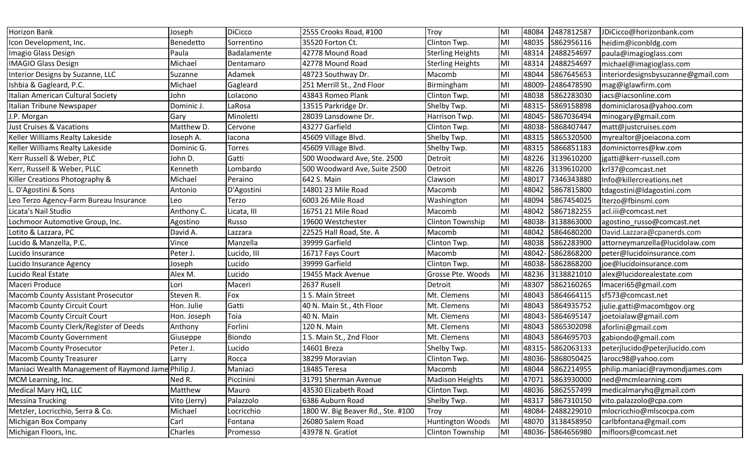| Horizon Bank                                        | Joseph       | <b>DiCicco</b> | 2555 Crooks Road, #100            | Troy                    | MI  | 48084 | 2487812587        | JDiCicco@horizonbank.com           |
|-----------------------------------------------------|--------------|----------------|-----------------------------------|-------------------------|-----|-------|-------------------|------------------------------------|
| Icon Development, Inc.                              | Benedetto    | Sorrentino     | 35520 Forton Ct.                  | Clinton Twp.            | MI  | 48035 | 5862956116        | heidim@iconbldg.com                |
| Imagio Glass Design                                 | Paula        | Badalamente    | 42778 Mound Road                  | <b>Sterling Heights</b> | MI  | 48314 | 2488254697        | paula@imagioglass.com              |
| <b>IMAGIO Glass Design</b>                          | Michael      | Dentamaro      | 42778 Mound Road                  | <b>Sterling Heights</b> | MI  | 48314 | 2488254697        | michael@imagioglass.com            |
| Interior Designs by Suzanne, LLC                    | Suzanne      | Adamek         | 48723 Southway Dr.                | Macomb                  | MI  | 48044 | 5867645653        | interiordesignsbysuzanne@gmail.com |
| Ishbia & Gagleard, P.C.                             | Michael      | Gagleard       | 251 Merrill St., 2nd Floor        | Birmingham              | MI  | 48009 | 2486478590        | mag@iglawfirm.com                  |
| Italian American Cultural Society                   | John         | Lolacono       | 43843 Romeo Plank                 | Clinton Twp.            | MI  | 48038 | 5862283030        | iacs@iacsonline.com                |
| Italian Tribune Newspaper                           | Dominic J.   | LaRosa         | 13515 Parkridge Dr.               | Shelby Twp.             | MI  | 48315 | 5869158898        | dominiclarosa@yahoo.com            |
| J.P. Morgan                                         | Gary         | Minoletti      | 28039 Lansdowne Dr.               | Harrison Twp.           | lMI | 48045 | 5867036494        | minogary@gmail.com                 |
| <b>Just Cruises &amp; Vacations</b>                 | Matthew D.   | Cervone        | 43277 Garfield                    | Clinton Twp.            | MI  | 48038 | 5868407447        | matt@justcruises.com               |
| Keller Williams Realty Lakeside                     | Joseph A.    | lacona         | 45609 Village Blvd.               | Shelby Twp.             | MI  | 48315 | 5865320500        | myrealtor@joeiacona.com            |
| Keller Williams Realty Lakeside                     | Dominic G.   | <b>Torres</b>  | 45609 Village Blvd.               | Shelby Twp.             | MI  | 48315 | 5866851183        | dominictorres@kw.com               |
| Kerr Russell & Weber, PLC                           | John D.      | Gatti          | 500 Woodward Ave, Ste. 2500       | Detroit                 | MI  | 48226 | 3139610200        | jgatti@kerr-russell.com            |
| Kerr, Russell & Weber, PLLC                         | Kenneth      | Lombardo       | 500 Woodward Ave, Suite 2500      | Detroit                 | MI  | 48226 | 3139610200        | krl37@comcast.net                  |
| Killer Creations Photography &                      | Michael      | Peraino        | 642 S. Main                       | Clawson                 | MI  | 48017 | 7346343880        | Info@killercreations.net           |
| . D'Agostini & Sons                                 | Antonio      | D'Agostini     | 14801 23 Mile Road                | Macomb                  | MI  | 48042 | 5867815800        | tdagostini@ldagostini.com          |
| Leo Terzo Agency-Farm Bureau Insurance              | Leo          | Terzo          | 6003 26 Mile Road                 | Washington              | MI  | 48094 | 5867454025        | lterzo@fbinsmi.com                 |
| Licata's Nail Studio                                | Anthony C.   | Licata, III    | 16751 21 Mile Road                | Macomb                  | MI  | 48042 | 5867182255        | acl.iii@comcast.net                |
| Lochmoor Automotive Group, Inc.                     | Agostino     | Russo          | 19600 Westchester                 | Clinton Township        | MI  | 48038 | 3138863000        | agostino russo@comcast.net         |
| Lotito & Lazzara, PC                                | David A.     | Lazzara        | 22525 Hall Road, Ste. A           | Macomb                  | MI  | 48042 | 5864680200        | David.Lazzara@cpanerds.com         |
| Lucido & Manzella, P.C.                             | Vince        | Manzella       | 39999 Garfield                    | Clinton Twp.            | MI  | 48038 | 5862283900        | attorneymanzella@lucidolaw.com     |
| Lucido Insurance                                    | Peter J      | Lucido, III    | 16717 Fays Court                  | Macomb                  | MI  | 48042 | 5862868200        | peter@lucidoinsurance.com          |
| Lucido Insurance Agency                             | Joseph       | Lucido         | 39999 Garfield                    | Clinton Twp.            | lMI | 48038 | 5862868200        | joe@lucidoinsurance.com            |
| Lucido Real Estate                                  | Alex M.      | Lucido         | 19455 Mack Avenue                 | Grosse Pte. Woods       | MI  | 48236 | 3138821010        | alex@lucidorealestate.com          |
| Maceri Produce                                      | Lori         | Maceri         | 2637 Rusell                       | Detroit                 | MI  | 48307 | 5862160265        | Imaceri65@gmail.com                |
| <b>Macomb County Assistant Prosecutor</b>           | Steven R.    | Fox            | 1 S. Main Street                  | Mt. Clemens             | MI  | 48043 | 5864664115        | sf573@comcast.net                  |
| <b>Macomb County Circuit Court</b>                  | Hon. Julie   | Gatti          | 40 N. Main St., 4th Floor         | Mt. Clemens             | MI  | 48043 | 5864935752        | julie.gatti@macombgov.org          |
| <b>Macomb County Circuit Court</b>                  | Hon. Joseph  | Toia           | 40 N. Main                        | Mt. Clemens             | MI  | 48043 | 5864695147        | joetoialaw@gmail.com               |
| Macomb County Clerk/Register of Deeds               | Anthony      | Forlini        | 120 N. Main                       | Mt. Clemens             | MI  | 48043 | 5865302098        | aforlini@gmail.com                 |
| <b>Macomb County Government</b>                     | Giuseppe     | <b>Biondo</b>  | 1 S. Main St., 2nd Floor          | Mt. Clemens             | MI  | 48043 | 5864695703        | gabiondo@gmail.com                 |
| <b>Macomb County Prosecutor</b>                     | Peter J.     | Lucido         | 14601 Breza                       | Shelby Twp.             | MI  | 48315 | 5862063133        | peterjlucido@peterjlucido.com      |
| <b>Macomb County Treasurer</b>                      | Larry        | Rocca          | 38299 Moravian                    | Clinton Twp.            | MI  |       | 48036- 5868050425 | larocc98@yahoo.com                 |
| Maniaci Wealth Management of Raymond Jame Philip J. |              | Maniaci        | 18485 Teresa                      | Macomb                  | MI  | 48044 | 5862214955        | philip.maniaci@raymondjames.com    |
| MCM Learning, Inc.                                  | Ned R.       | Piccinini      | 31791 Sherman Avenue              | <b>Madison Heights</b>  | MI  | 47071 | 5863930000        | ned@mcmlearning.com                |
| Medical Mary HQ, LLC                                | Matthew      | Mauro          | 43530 Elizabeth Road              | Clinton Twp.            | MI  | 48036 | 5862557499        | medicalmaryhq@gmail.com            |
| <b>Messina Trucking</b>                             | Vito (Jerry) | Palazzolo      | 6386 Auburn Road                  | Shelby Twp.             | MI  | 48317 | 5867310150        | vito.palazzolo@cpa.com             |
| Metzler, Locricchio, Serra & Co.                    | Michael      | Locricchio     | 1800 W. Big Beaver Rd., Ste. #100 | Troy                    | MI  | 48084 | 2488229010        | mlocricchio@mlscocpa.com           |
| Michigan Box Company                                | Carl         | Fontana        | 26080 Salem Road                  | <b>Huntington Woods</b> | MI  | 48070 | 3138458950        | carlbfontana@gmail.com             |
| Michigan Floors, Inc.                               | Charles      | Promesso       | 43978 N. Gratiot                  | Clinton Township        | MI  |       | 48036- 5864656980 | mifloors@comcast.net               |
|                                                     |              |                |                                   |                         |     |       |                   |                                    |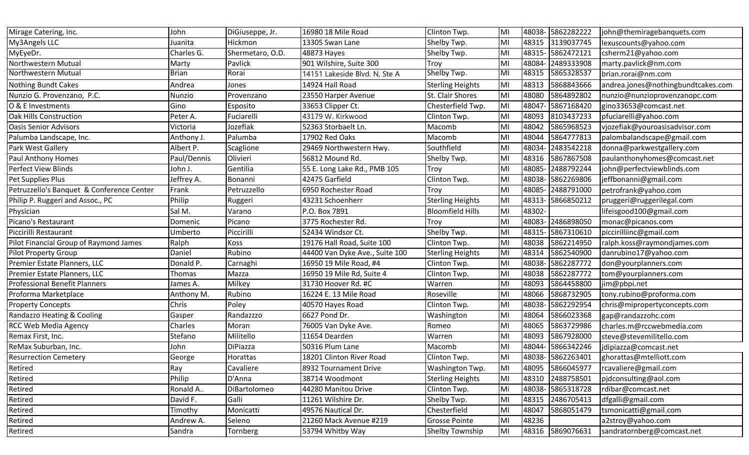| Mirage Catering, Inc.                     | John         | DiGiuseppe, Jr.  | 16980 18 Mile Road             | Clinton Twp.            | lMl                     |        | 48038- 5862282222 | john@themiragebanquets.com         |
|-------------------------------------------|--------------|------------------|--------------------------------|-------------------------|-------------------------|--------|-------------------|------------------------------------|
| My3Angels LLC                             | Juanita      | Hickmon          | 13305 Swan Lane                | Shelby Twp.             | Iмı                     | 48315  | 3139037745        | lexuscounts@yahoo.com              |
| MyEyeDr.                                  | Charles G.   | Shermetaro, O.D. | 48873 Hayes                    | Shelby Twp.             | MI                      |        | 48315- 5862472121 | csherm21@yahoo.com                 |
| Northwestern Mutual                       | Marty        | Pavlick          | 901 Wilshire, Suite 300        | Troy                    | MI                      | 48084- | 2489333908        | marty.pavlick@nm.com               |
| Northwestern Mutual                       | <b>Brian</b> | Rorai            | 14151 Lakeside Blvd. N, Ste A  | Shelby Twp.             | $\overline{\mathsf{M}}$ | 48315  | 5865328537        | brian.rorai@nm.com                 |
| <b>Nothing Bundt Cakes</b>                | Andrea       | Jones            | 14924 Hall Road                | <b>Sterling Heights</b> | MI                      | 48313  | 5868843666        | andrea.jones@nothingbundtcakes.com |
| Nunzio G. Provenzano, P.C.                | Nunzio       | Provenzano       | 23550 Harper Avenue            | St. Clair Shores        | MI                      | 48080  | 5864892802        | nunzio@nunzioprovenzanopc.com      |
| O & E Investments                         | Gino         | Esposito         | 33653 Clipper Ct.              | Chesterfield Twp.       | MI                      | 48047  | 5867168420        | gino33653@comcast.net              |
| <b>Oak Hills Construction</b>             | Peter A.     | Fuciarelli       | 43179 W. Kirkwood              | Clinton Twp.            | MI                      | 48093  | 8103437233        | pfuciarelli@yahoo.com              |
| <b>Oasis Senior Advisors</b>              | Victoria     | Jozefiak         | 52363 Storbaelt Ln.            | Macomb                  | MI                      | 48042  | 5865968523        | vjozefiak@youroasisadvisor.com     |
| Palumba Landscape, Inc.                   | Anthony J.   | Palumba          | 17902 Red Oaks                 | Macomb                  | MI                      | 48044  | 5864777813        | palombalandscape@gmail.com         |
| Park West Gallery                         | Albert P.    | Scaglione        | 29469 Northwestern Hwy.        | Southfield              | MI                      | 48034- | 2483542218        | donna@parkwestgallery.com          |
| Paul Anthony Homes                        | Paul/Dennis  | Olivieri         | 56812 Mound Rd.                | Shelby Twp.             | MI                      | 48316  | 5867867508        | paulanthonyhomes@comcast.net       |
| <b>Perfect View Blinds</b>                | John J.      | Gentilia         | 55 E. Long Lake Rd., PMB 105   | Troy                    | MI                      | 48085- | 2488792244        | john@perfectviewblinds.com         |
| Pet Supplies Plus                         | Jeffrey A.   | Bonanni          | 42475 Garfield                 | Clinton Twp.            | MI                      | 48038  | 5862269806        | jeffbonanni@gmail.com              |
| Petruzzello's Banquet & Conference Center | Frank        | Petruzzello      | 6950 Rochester Road            | Troy                    | MI                      | 48085- | 2488791000        | petrofrank@yahoo.com               |
| Philip P. Ruggeri and Assoc., PC          | Philip       | Ruggeri          | 43231 Schoenherr               | <b>Sterling Heights</b> | MI                      | 48313- | 5866850212        | pruggeri@ruggerilegal.com          |
| Physician                                 | Sal M.       | Varano           | P.O. Box 7891                  | <b>Bloomfield Hills</b> | MI                      | 48302- |                   | lifeisgood100@gmail.com            |
| Picano's Restaurant                       | Domenic      | Picano           | 3775 Rochester Rd.             | Troy                    | MI                      | 48083- | 2486898050        | monac@picanos.com                  |
| Piccirilli Restaurant                     | Umberto      | Piccirilli       | 52434 Windsor Ct.              | Shelby Twp.             | <b>MI</b>               | 48315  | 5867310610        | piccirilliinc@gmail.com            |
| Pilot Financial Group of Raymond James    | Ralph        | Koss             | 19176 Hall Road, Suite 100     | Clinton Twp.            | MI                      | 48038  | 5862214950        | ralph.koss@raymondjames.com        |
| <b>Pilot Property Group</b>               | Daniel       | Rubino           | 44400 Van Dyke Ave., Suite 100 | Sterling Heights        | MI                      | 48314  | 5862540900        | danrubino17@yahoo.com              |
| Premier Estate Planners, LLC              | Donald P.    | Carnaghi         | 16950 19 Mile Road, #4         | Clinton Twp.            | <b>MI</b>               | 48038- | 5862287772        | don@yourplanners.com               |
| Premier Estate Planners, LLC              | Thomas       | Mazza            | 16950 19 Mile Rd, Suite 4      | Clinton Twp.            | MI                      | 48038  | 5862287772        | tom@yourplanners.com               |
| <b>Professional Benefit Planners</b>      | James A.     | Milkey           | 31730 Hoover Rd. #C            | Warren                  | MI                      | 48093  | 5864458800        | jim@pbpi.net                       |
| Proforma Marketplace                      | Anthony M.   | Rubino           | 16224 E. 13 Mile Road          | Roseville               | MI                      | 48066  | 5868732905        | tony.rubino@proforma.com           |
| <b>Property Concepts</b>                  | Chris        | Poley            | 40570 Hayes Road               | Clinton Twp.            | MI                      | 48038  | 5862292954        | chris@mipropertyconcepts.com       |
| Randazzo Heating & Cooling                | Gasper       | Randazzzo        | 6627 Pond Dr.                  | Washington              | MI                      | 48064  | 5866023368        | gap@randazzohc.com                 |
| <b>RCC Web Media Agency</b>               | Charles      | Moran            | 76005 Van Dyke Ave.            | Romeo                   | MI                      | 48065  | 5863729986        | charles.m@rccwebmedia.com          |
| Remax First, Inc.                         | Stefano      | Militello        | 11654 Dearden                  | Warren                  | MI                      | 48093  | 5867928000        | steve@stevemilitello.com           |
| ReMax Suburban, Inc.                      | John         | DiPiazza         | 50316 Plum Lane                | Macomb                  | MI                      | 48044- | 5866342246        | jdipiazza@comcast.net              |
| <b>Resurrection Cemetery</b>              | George       | Horattas         | 18201 Clinton River Road       | Clinton Twp.            | MI                      |        | 48038- 5862263401 | ghorattas@mtelliott.com            |
| Retired                                   | Ray          | Cavaliere        | 8932 Tournament Drive          | Washington Twp.         | MI                      |        | 48095 5866045977  | rcavaliere@gmail.com               |
| Retired                                   | Philip       | D'Anna           | 38714 Woodmont                 | <b>Sterling Heights</b> | MI                      |        | 48310 2488758501  | pjdconsulting@aol.com              |
| Retired                                   | Ronald A     | DiBartolomeo     | 44280 Manitou Drive            | Clinton Twp.            | Mi                      |        | 48038- 5865318728 | rdibar@comcast.net                 |
| Retired                                   | David F.     | Galli            | 11261 Wilshire Dr.             | Shelby Twp.             | MI                      | 48315  | 2486705413        | dfgalli@gmail.com                  |
| Retired                                   | Timothy      | Monicatti        | 49576 Nautical Dr.             | Chesterfield            | MI                      | 48047  | 5868051479        | tsmonicatti@gmail.com              |
| Retired                                   | Andrew A.    | Seleno           | 21260 Mack Avenue #219         | <b>Grosse Pointe</b>    | MI                      | 48236  |                   | a2stroy@yahoo.com                  |
| Retired                                   | Sandra       | Tornberg         | 53794 Whitby Way               | Shelby Township         | MI                      |        | 48316 5869076631  | sandratornberg@comcast.net         |